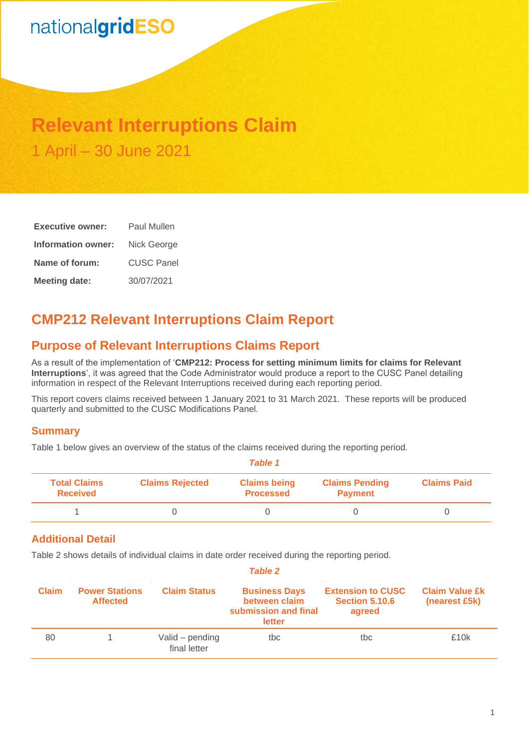# nationalgridESO

## **Relevant Interruptions Claim** 1 April – 30 June 2021

| <b>Executive owner:</b> | <b>Paul Mullen</b> |  |  |
|-------------------------|--------------------|--|--|
| Information owner:      | Nick George        |  |  |
| Name of forum:          | <b>CUSC Panel</b>  |  |  |
| <b>Meeting date:</b>    | 30/07/2021         |  |  |

## **CMP212 Relevant Interruptions Claim Report**

## **Purpose of Relevant Interruptions Claims Report**

As a result of the implementation of '**CMP212: Process for setting minimum limits for claims for Relevant Interruptions**', it was agreed that the Code Administrator would produce a report to the CUSC Panel detailing information in respect of the Relevant Interruptions received during each reporting period.

This report covers claims received between 1 January 2021 to 31 March 2021. These reports will be produced quarterly and submitted to the CUSC Modifications Panel.

### **Summary**

Table 1 below gives an overview of the status of the claims received during the reporting period.

|                                        | Table 1                |                                         |                                         |                    |  |
|----------------------------------------|------------------------|-----------------------------------------|-----------------------------------------|--------------------|--|
| <b>Total Claims</b><br><b>Received</b> | <b>Claims Rejected</b> | <b>Claims being</b><br><b>Processed</b> | <b>Claims Pending</b><br><b>Payment</b> | <b>Claims Paid</b> |  |
|                                        |                        |                                         |                                         |                    |  |

### **Additional Detail**

Table 2 shows details of individual claims in date order received during the reporting period.

| <b>Table 2</b> |                                          |                                 |                                                                         |                                                             |                                        |
|----------------|------------------------------------------|---------------------------------|-------------------------------------------------------------------------|-------------------------------------------------------------|----------------------------------------|
| <b>Claim</b>   | <b>Power Stations</b><br><b>Affected</b> | <b>Claim Status</b>             | <b>Business Days</b><br>between claim<br>submission and final<br>letter | <b>Extension to CUSC</b><br><b>Section 5.10.6</b><br>agreed | <b>Claim Value £k</b><br>(nearest £5k) |
| 80             |                                          | Valid – pending<br>final letter | tbc                                                                     | tbc.                                                        | £10k                                   |